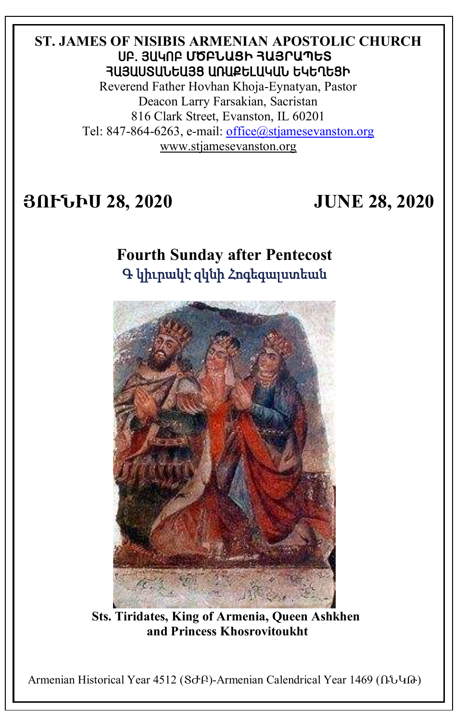## **ST. JAMES OF NISIBIS ARMENIAN APOSTOLIC CHURCH** ê´. Ú²Îà´ **ՄԾԲՆԱՑԻ ՀԱՅՐԱՊԵՏ** ՅԱՅԱՍՏԱՆԵԱՅՑ ԱՌԱՔԵԼԱԿԱՆ ԵԿԵՂԵՑԻ

Reverend Father Hovhan Khoja-Eynatyan, Pastor Deacon Larry Farsakian, Sacristan 816 Clark Street, Evanston, IL 60201 Tel: 847-864-6263, e-mail: [office@stjamesevanston.org](mailto:office@stjamesevanston.org) [www.stjamesevanston.org](http://www.stjamesevanston.org/)

# **ՅՈՒՆԻՍ 28, 2020 JUNE 28, 2020**

# **Fourth Sunday after Pentecost**  Գ կիւրակէ զկնի Հոգեգալստեան



**Sts. Tiridates, King of Armenia, Queen Ashkhen and Princess Khosrovitoukht**

Armenian Historical Year 4512 (ՏԺԲ)-Armenian Calendrical Year 1469 (ՌՆԿԹ)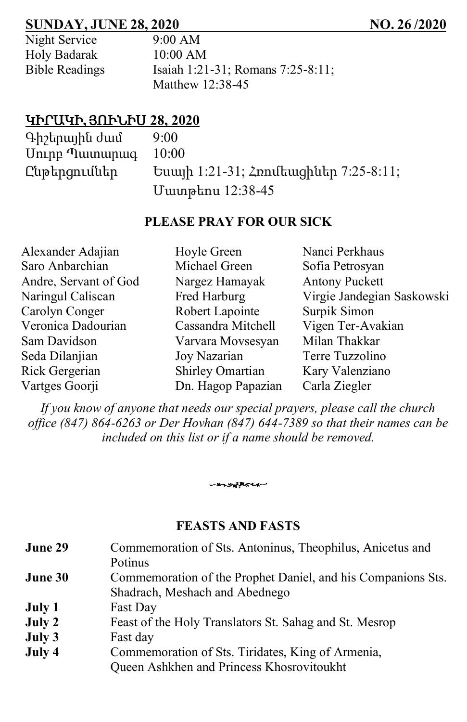## **SUNDAY, JUNE 28, 2020 NO. 26 /2020**

| Night Service         |
|-----------------------|
| Holy Badarak          |
| <b>Bible Readings</b> |

 $9:00$  AM  $10:00$  AM Bible Readings Isaiah 1:21-31; Romans 7:25-8:11; Matthew 12:38-45

# ԿԻՐԱԿԻ**,** ՅՈՒՆԻՍ **28, 2020**

| Գիշերային ժամ   | 9:00                                  |
|-----------------|---------------------------------------|
| Uning Tuununung | 10:00                                 |
| Ընթերցումներ    | Եսայի 1:21-31; Հռոմեացիներ 7:25-8:11; |
|                 | Մատթեոս 12:38-45                      |

#### **PLEASE PRAY FOR OUR SICK**

| Hoyle Green        | Nanci Perkhaus             |
|--------------------|----------------------------|
| Michael Green      | Sofia Petrosyan            |
| Nargez Hamayak     | <b>Antony Puckett</b>      |
| Fred Harburg       | Virgie Jandegian Saskowski |
| Robert Lapointe    | Surpik Simon               |
| Cassandra Mitchell | Vigen Ter-Avakian          |
| Varvara Movsesyan  | Milan Thakkar              |
| Joy Nazarian       | Terre Tuzzolino            |
| Shirley Omartian   | Kary Valenziano            |
| Dn. Hagop Papazian | Carla Ziegler              |
|                    |                            |

*If you know of anyone that needs our special prayers, please call the church office (847) 864-6263 or Der Hovhan (847) 644-7389 so that their names can be included on this list or if a name should be removed.*

#### **FEASTS AND FASTS**

-systemen

| June 29 | Commemoration of Sts. Antoninus, Theophilus, Anicetus and    |
|---------|--------------------------------------------------------------|
|         | <b>Potinus</b>                                               |
| June 30 | Commemoration of the Prophet Daniel, and his Companions Sts. |
|         | Shadrach, Meshach and Abednego                               |
| July 1  | Fast Day                                                     |
| July 2  | Feast of the Holy Translators St. Sahag and St. Mesrop       |
| July 3  | Fast day                                                     |
| July 4  | Commemoration of Sts. Tiridates, King of Armenia,            |
|         | Queen Ashkhen and Princess Khosrovitoukht                    |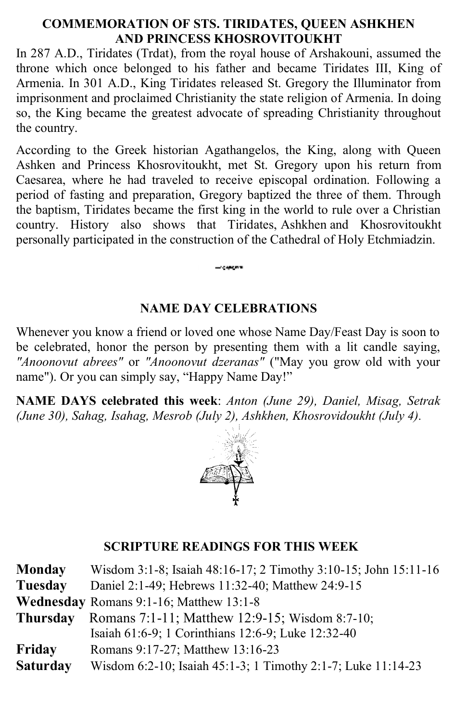## **COMMEMORATION OF STS. TIRIDATES, QUEEN ASHKHEN AND PRINCESS KHOSROVITOUKHT**

In 287 A.D., Tiridates (Trdat), from the royal house of Arshakouni, assumed the throne which once belonged to his father and became Tiridates III, King of Armenia. In 301 A.D., King Tiridates released St. Gregory the Illuminator from imprisonment and proclaimed Christianity the state religion of Armenia. In doing so, the King became the greatest advocate of spreading Christianity throughout the country.

According to the Greek historian Agathangelos, the King, along with Queen Ashken and Princess Khosrovitoukht, met St. Gregory upon his return from Caesarea, where he had traveled to receive episcopal ordination. Following a period of fasting and preparation, Gregory baptized the three of them. Through the baptism, Tiridates became the first king in the world to rule over a Christian country. History also shows that Tiridates, Ashkhen and Khosrovitoukht personally participated in the construction of the Cathedral of Holy Etchmiadzin.

## **NAME DAY CELEBRATIONS**

**Continued** 

Whenever you know a friend or loved one whose Name Day/Feast Day is soon to be celebrated, honor the person by presenting them with a lit candle saying, *"Anoonovut abrees"* or *"Anoonovut dzeranas"* ("May you grow old with your name"). Or you can simply say, "Happy Name Day!"

**NAME DAYS celebrated this week**: *Anton (June 29), Daniel, Misag, Setrak (June 30), Sahag, Isahag, Mesrob (July 2), Ashkhen, Khosrovidoukht (July 4).*



## **SCRIPTURE READINGS FOR THIS WEEK**

| Monday          | Wisdom 3:1-8; Isaiah 48:16-17; 2 Timothy 3:10-15; John 15:11-16 |
|-----------------|-----------------------------------------------------------------|
| Tuesday         | Daniel 2:1-49; Hebrews 11:32-40; Matthew 24:9-15                |
|                 | <b>Wednesday</b> Romans 9:1-16; Matthew 13:1-8                  |
| <b>Thursday</b> | Romans 7:1-11; Matthew 12:9-15; Wisdom 8:7-10;                  |
|                 | Isaiah 61:6-9; 1 Corinthians 12:6-9; Luke 12:32-40              |
| Friday          | Romans 9:17-27; Matthew 13:16-23                                |
| <b>Saturday</b> | Wisdom 6:2-10; Isaiah 45:1-3; 1 Timothy 2:1-7; Luke 11:14-23    |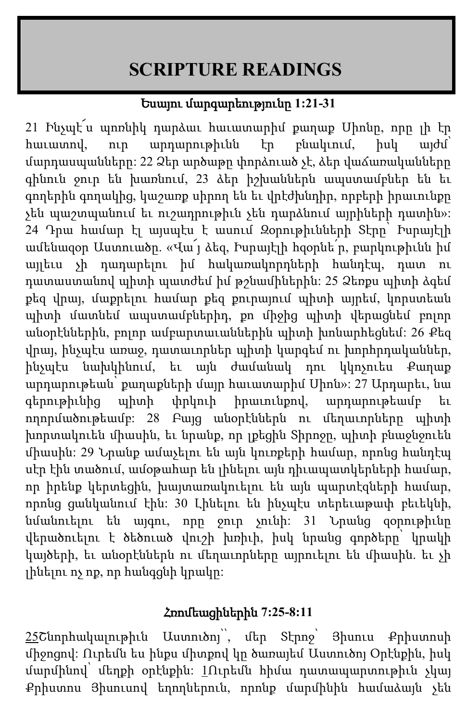# **SCRIPTURE READINGS**

# Եսայու մարգարեությունը **1:21-31**

21 Ինչպէ՜ս պոռնիկ դարձաւ հաւատարիմ քաղաք Սիոնը, որը լի էր հաւատով, ուր արդարութիւնն էր բնակւում, իսկ այժմ՝ մարդասպանները: 22 Ձեր արծաթը փորձուած չէ, ձեր վաճառականները գինուն ջուր են խառնում, 23 ձեր իշխաններն ապստամբներ են եւ գողերին գողակից, կաշառք սիրող են եւ վրէժխնդիր, որբերի իրաւունքը չեն պաշտպանում եւ ուշադրութիւն չեն դարձնում այրիների դատին»: 24 Դրա համար էլ այսպէս է ասում Զօրութիւնների Տէրը՝ Իսրայէլի ամենազօր Աստուածը. «Վա՜յ ձեզ, Իսրայէլի հզօրնե՛ր, բարկութիւնն իմ այլեւս չի դադարելու իմ հակառակորդների հանդէպ, դատ ու դատաստանով պիտի պատժեմ իմ թշնամիներին: 25 Ձեռքս պիտի ձգեմ քեզ վրայ, մաքրելու համար քեզ քուրայում պիտի այրեմ, կորստեան պիտի մատնեմ ապստամբներիդ, քո միջից պիտի վերացնեմ բոլոր անօրէններին, բոլոր ամբարտաւաններին պիտի խոնարհեցնեմ: 26 Քեզ վրայ, ինչպէս առաջ, դատաւորներ պիտի կարգեմ ու խորհրդականներ, ինչպէս նախկինում, եւ այն ժամանակ դու կկոչուես Քաղաք արդարութեան՝ քաղաքների մայր հաւատարիմ Սիոն»: 27 Արդարեւ, նա գերութիւնից պիտի փրկուի իրաւունքով, արդարութեամբ եւ ողորմածութեամբ: 28 Բայց անօրէններն ու մեղաւորները պիտի խորտակուեն միասին, եւ նրանք, որ լքեցին Տիրոջը, պիտի բնաջնջուեն միասին: 29 Նրանք ամաչելու են այն կուռքերի համար, որոնց հանդէպ սէր էին տածում, ամօթահար են լինելու այն դիւապատկերների համար, որ իրենք կերտեցին, խայտառակուելու են այն պարտէզների համար, որոնց ցանկանում էին: 30 Լինելու են ինչպէս տերեւաթափ բեւեկնի, նմանուելու են այգու, որը ջուր չունի: 31 Նրանց զօրութիւնը վերածուելու է ծեծուած վուշի խռիւի, իսկ նրանց գործերը՝ կրակի կայծերի, եւ անօրէններն ու մեղաւորները այրուելու են միասին. եւ չի լինելու ոչ ոք, որ հանգցնի կրակը:

# Հռոմեացիներին **7:25-8:11**

[25](http://biblehub.com/romans/7-25.htm)Շնորհակալութիւն Աստուծոյ՝՝, մեր Տէրոջ՝ Յիսուս Քրիստոսի միջոցով: Ուրեմն ես ինքս միտքով կը ծառայեմ Աստուծոյ Օրէնքին, իսկ մարմինով՝ մեղքի օրէնքին: [1](http://biblehub.com/romans/8-1.htm)Ուրեմն հիմա դատապարտութիւն չկայ Քրիստոս Յիսուսով եղողներուն, որոնք մարմինին համաձայն չեն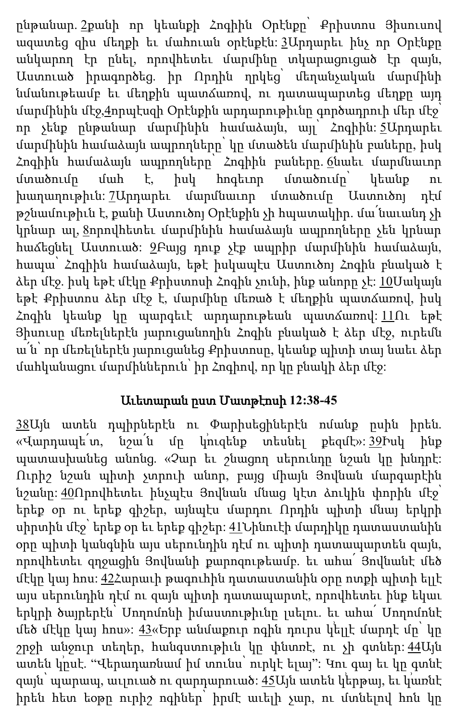ընթանար. [2](http://biblehub.com/romans/8-2.htm)քանի որ կեանքի Հոգիին Օրէնքը՝ Քրիստոս Յիսուսով ազատեց զիս մեղքի եւ մահուան օրէնքէն: [3](http://biblehub.com/romans/8-3.htm)Արդարեւ ինչ որ Օրէնքը անկարող էր ընել, որովհետեւ մարմինը տկարացուցած էր զայն, Աստուած իրագործեց. իր Որդին ղրկեց՝ մեղանչական մարմինի նմանութեամբ եւ մեղքին պատճառով, ու դատապարտեց մեղքը այդ մարմինին մէջ[,4](http://biblehub.com/romans/8-4.htm)որպէսզի Օրէնքին արդարութիւնը գործադրուի մեր մէջ՝ որ չենք ընթանար մարմինին համաձայն, այլ՝ Հոգիին: [5](http://biblehub.com/romans/8-5.htm)Արդարեւ մարմինին համաձայն ապրողները՝ կը մտածեն մարմինին բաները, իսկ Հոգիին համաձայն ապրողները՝ Հոգիին բաները <u>ճ</u>նաեւ մարմնաւոր մտածումը մահ է, իսկ հոգեւոր մտածումը՝ կեանք ու խաղաղութիւն: [7](http://biblehub.com/romans/8-7.htm)Արդարեւ մարմնաւոր մտածումը Աստուծոյ դէմ թշնամութիւն է, քանի Աստուծոյ Օրէնքին չի հպատակիր. մա՛նաւանդ չի կրնար ալ, <u>[8](http://biblehub.com/romans/8-8.htm)</u>որովհետեւ մարմինին համաձայն ապրողները չեն կրնար հաճեցնել Աստուած: [9](http://biblehub.com/romans/8-9.htm)Բայց դուք չէք ապրիր մարմինին համաձայն, հապա՝ Հոգիին համաձայն, եթէ իսկապէս Աստուծոյ Հոգին բնակած է ձեր մէջ. իսկ եթէ մէկը Քրիստոսի Հոգին չունի, ինք անորը չէ: [10](http://biblehub.com/romans/8-10.htm)Սակայն եթէ Քրիստոս ձեր մէջ է, մարմինը մեռած է մեղքին պատճառով, իսկ Հոգին կեանք կը պարգեւէ արդարութեան պատճառով: [11](http://biblehub.com/romans/8-11.htm)Ու եթէ Յիսուսը մեռելներէն յարուցանողին Հոգին բնակած է ձեր մէջ, ուրեմն ա՛ն՝ որ մեռելներէն յարուցանեց Քրիստոսը, կեանք պիտի տայ նաեւ ձեր մահկանացու մարմիններուն՝ իր Հոգիով, որ կը բնակի ձեր մէջ:

# Աւետարան ըստ Մատթէոսի **12:38-45**

[38](http://biblehub.com/matthew/12-38.htm)Այն ատեն դպիրներէն ու Փարիսեցիներէն ոմանք ըսին իրեն. «Վարդապե՛տ, նշա՛ն մը կուզենք տեսնել քեզմէ»։ [39](http://biblehub.com/matthew/12-39.htm)Իսկ ինք պատասխանեց անոնց. «Չար եւ շնացող սերունդը նշան կը խնդրէ: Ուրիշ նշան պիտի չտրուի անոր, բայց միայն Յովնան մարգարէին նշանը: [40](http://biblehub.com/matthew/12-40.htm)Որովհետեւ ինչպէս Յովնան մնաց կէտ ձուկին փորին մէջ՝ երեք օր ու երեք գիշեր, այնպէս մարդու Որդին պիտի մնայ երկրի սիրտին մէջ` երեք օր եւ երեք գիշեր։ <u>[41](http://biblehub.com/matthew/12-41.htm)</u>Նինուէի մարդիկը դատաստանին օրը պիտի կանգնին այս սերունդին դէմ ու պիտի դատապարտեն զայն, որովհետեւ զղջացին Յովնանի քարոզութեամբ. եւ ահա՛ Յովնանէ մեծ մէկը կայ հոս: [42](http://biblehub.com/matthew/12-42.htm)Հարաւի թագուհին դատաստանին օրը ոտքի պիտի ելլէ այս սերունդին դէմ ու զայն պիտի դատապարտէ, որովհետեւ ինք եկաւ երկրի ծայրերէն՝ Սողոմոնի իմաստութիւնը լսելու. եւ ահա՛ Սողոմոնէ մեծ մէկը կայ հոս»։ <u>43</u>«Երբ անմաքուր ոգին դուրս կելլէ մարդէ մը՝ կը շրջի անջուր տեղեր, հանգստութիւն կը փնտռէ, ու չի գտներ: [44](http://biblehub.com/matthew/12-44.htm)Այն ատեն կ՛ըսէ. "Վերադառնամ իմ տունս՝ ուրկէ ելայ"։ Կու գայ եւ կը գտնէ զայն` պարապ, աւլուած ու զարդարուած։ <u>[45](http://biblehub.com/matthew/12-45.htm)</u>Այն ատեն կերթայ, եւ կառնէ իրեն հետ եօթը ուրիշ ոգիներ՝ իրմէ աւելի չար, ու մտնելով հոն կը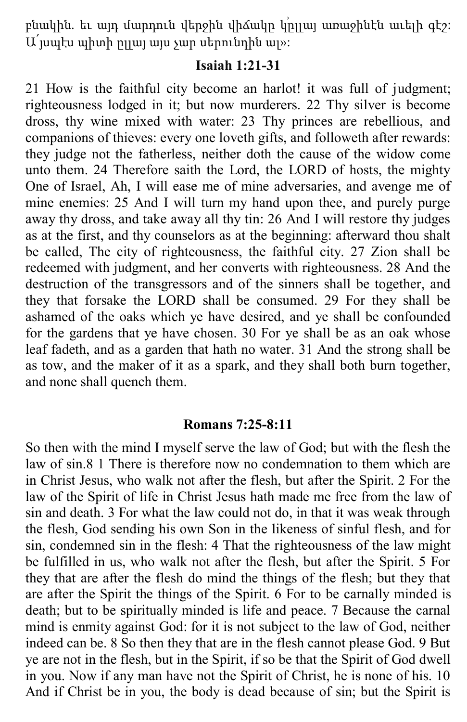բնակին. եւ այդ մարդուն վերջին վիճակը կրլլայ առաջինէն աւելի գէշ։ Ա՛յսպէս պիտի ըլլայ այս չար սերունդին ալ»:

# **Isaiah 1:21-31**

21 How is the faithful city become an harlot! it was full of judgment; righteousness lodged in it; but now murderers. 22 Thy silver is become dross, thy wine mixed with water: 23 Thy princes are rebellious, and companions of thieves: every one loveth gifts, and followeth after rewards: they judge not the fatherless, neither doth the cause of the widow come unto them. 24 Therefore saith the Lord, the LORD of hosts, the mighty One of Israel, Ah, I will ease me of mine adversaries, and avenge me of mine enemies: 25 And I will turn my hand upon thee, and purely purge away thy dross, and take away all thy tin: 26 And I will restore thy judges as at the first, and thy counselors as at the beginning: afterward thou shalt be called, The city of righteousness, the faithful city. 27 Zion shall be redeemed with judgment, and her converts with righteousness. 28 And the destruction of the transgressors and of the sinners shall be together, and they that forsake the LORD shall be consumed. 29 For they shall be ashamed of the oaks which ye have desired, and ye shall be confounded for the gardens that ye have chosen. 30 For ye shall be as an oak whose leaf fadeth, and as a garden that hath no water. 31 And the strong shall be as tow, and the maker of it as a spark, and they shall both burn together, and none shall quench them.

### **Romans 7:25-8:11**

So then with the mind I myself serve the law of God; but with the flesh the law of sin.8 1 There is therefore now no condemnation to them which are in Christ Jesus, who walk not after the flesh, but after the Spirit. 2 For the law of the Spirit of life in Christ Jesus hath made me free from the law of sin and death. 3 For what the law could not do, in that it was weak through the flesh, God sending his own Son in the likeness of sinful flesh, and for sin, condemned sin in the flesh: 4 That the righteousness of the law might be fulfilled in us, who walk not after the flesh, but after the Spirit. 5 For they that are after the flesh do mind the things of the flesh; but they that are after the Spirit the things of the Spirit. 6 For to be carnally minded is death; but to be spiritually minded is life and peace. 7 Because the carnal mind is enmity against God: for it is not subject to the law of God, neither indeed can be. 8 So then they that are in the flesh cannot please God. 9 But ye are not in the flesh, but in the Spirit, if so be that the Spirit of God dwell in you. Now if any man have not the Spirit of Christ, he is none of his. 10 And if Christ be in you, the body is dead because of sin; but the Spirit is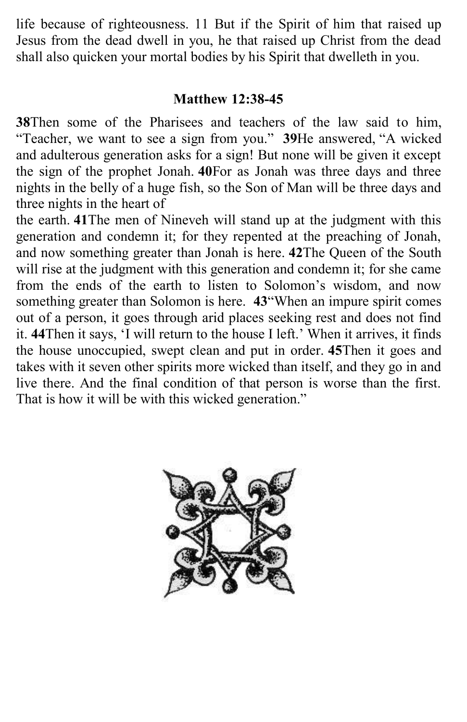life because of righteousness. 11 But if the Spirit of him that raised up Jesus from the dead dwell in you, he that raised up Christ from the dead shall also quicken your mortal bodies by his Spirit that dwelleth in you.

# **Matthew 12:38-45**

**38**Then some of the Pharisees and teachers of the law said to him, "Teacher, we want to see a sign from you." **39**He answered, "A wicked and adulterous generation asks for a sign! But none will be given it except the sign of the prophet Jonah. **40**For as Jonah was three days and three nights in the belly of a huge fish, so the Son of Man will be three days and three nights in the heart of

the earth. **41**The men of Nineveh will stand up at the judgment with this generation and condemn it; for they repented at the preaching of Jonah, and now something greater than Jonah is here. **42**The Queen of the South will rise at the judgment with this generation and condemn it; for she came from the ends of the earth to listen to Solomon's wisdom, and now something greater than Solomon is here. **43**"When an impure spirit comes out of a person, it goes through arid places seeking rest and does not find it. **44**Then it says, 'I will return to the house I left.' When it arrives, it finds the house unoccupied, swept clean and put in order. **45**Then it goes and takes with it seven other spirits more wicked than itself, and they go in and live there. And the final condition of that person is worse than the first. That is how it will be with this wicked generation."